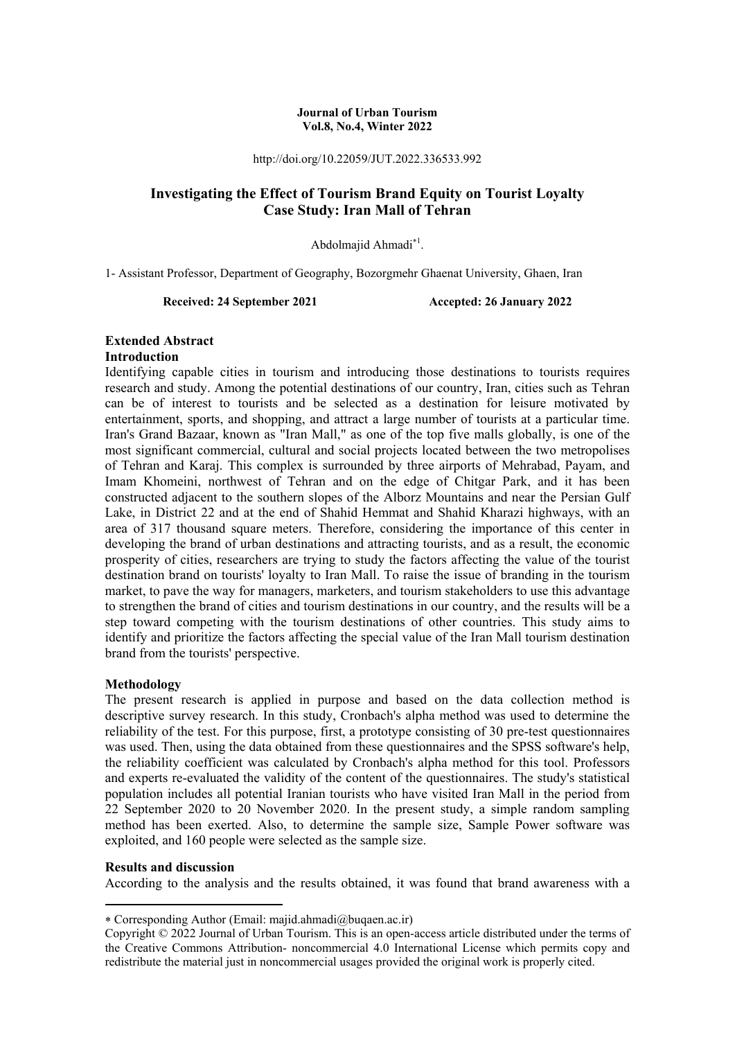#### **Journal of Urban Tourism Vol.8, No.4, Winter 2022**

http://doi.org/10.22059/JUT.2022.336533.992

# **Investigating the Effect of Tourism Brand Equity on Tourist Loyalty Case Study: Iran Mall of Tehran**

Abdolmajid Ahmadi<sup>\*1</sup>.

1- Assistant Professor, Department of Geography, Bozorgmehr Ghaenat University, Ghaen, Iran

**Received: 24 September 2021 Accepted: 26 January 2022** 

#### **Extended Abstract Introduction**

Identifying capable cities in tourism and introducing those destinations to tourists requires research and study. Among the potential destinations of our country, Iran, cities such as Tehran can be of interest to tourists and be selected as a destination for leisure motivated by entertainment, sports, and shopping, and attract a large number of tourists at a particular time. Iran's Grand Bazaar, known as "Iran Mall," as one of the top five malls globally, is one of the most significant commercial, cultural and social projects located between the two metropolises of Tehran and Karaj. This complex is surrounded by three airports of Mehrabad, Payam, and Imam Khomeini, northwest of Tehran and on the edge of Chitgar Park, and it has been constructed adjacent to the southern slopes of the Alborz Mountains and near the Persian Gulf Lake, in District 22 and at the end of Shahid Hemmat and Shahid Kharazi highways, with an area of 317 thousand square meters. Therefore, considering the importance of this center in developing the brand of urban destinations and attracting tourists, and as a result, the economic prosperity of cities, researchers are trying to study the factors affecting the value of the tourist destination brand on tourists' loyalty to Iran Mall. To raise the issue of branding in the tourism market, to pave the way for managers, marketers, and tourism stakeholders to use this advantage to strengthen the brand of cities and tourism destinations in our country, and the results will be a step toward competing with the tourism destinations of other countries. This study aims to identify and prioritize the factors affecting the special value of the Iran Mall tourism destination brand from the tourists' perspective.

### **Methodology**

The present research is applied in purpose and based on the data collection method is descriptive survey research. In this study, Cronbach's alpha method was used to determine the reliability of the test. For this purpose, first, a prototype consisting of 30 pre-test questionnaires was used. Then, using the data obtained from these questionnaires and the SPSS software's help, the reliability coefficient was calculated by Cronbach's alpha method for this tool. Professors and experts re-evaluated the validity of the content of the questionnaires. The study's statistical population includes all potential Iranian tourists who have visited Iran Mall in the period from 22 September 2020 to 20 November 2020. In the present study, a simple random sampling method has been exerted. Also, to determine the sample size, Sample Power software was exploited, and 160 people were selected as the sample size.

#### **Results and discussion**

**.** 

According to the analysis and the results obtained, it was found that brand awareness with a

Corresponding Author (Email: majid.ahmadi@buqaen.ac.ir)

Copyright © 2022 Journal of Urban Tourism. This is an open-access article distributed under the terms of the Creative Commons Attribution- noncommercial 4.0 International License which permits copy and redistribute the material just in noncommercial usages provided the original work is properly cited.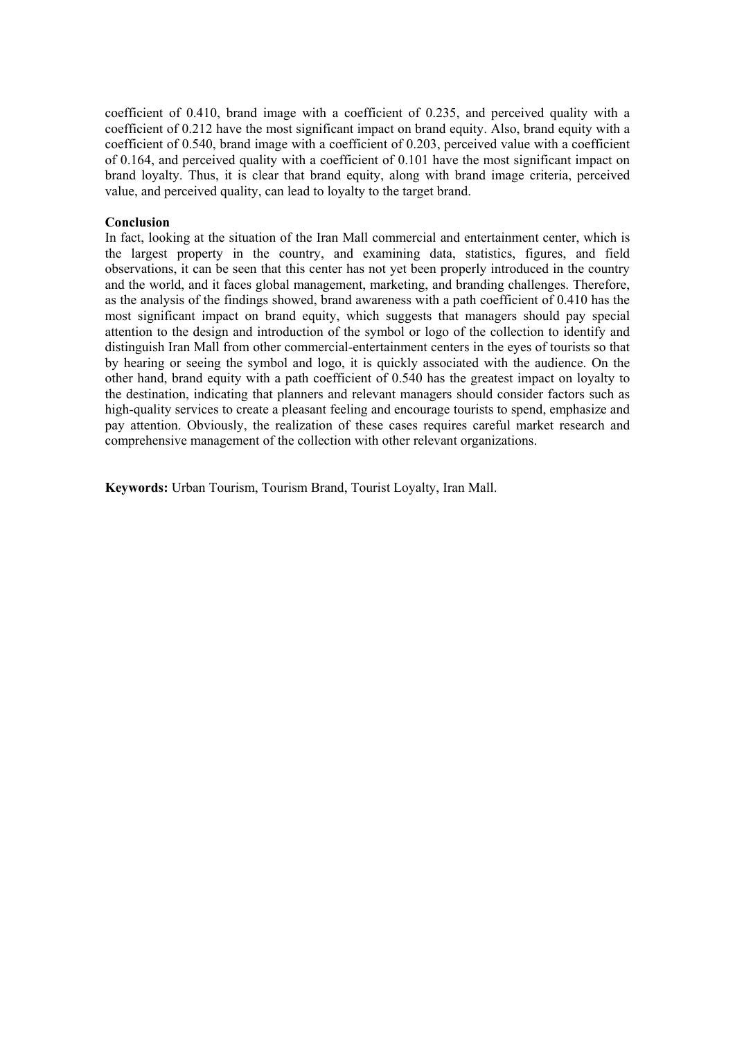coefficient of 0.410, brand image with a coefficient of 0.235, and perceived quality with a coefficient of 0.212 have the most significant impact on brand equity. Also, brand equity with a coefficient of 0.540, brand image with a coefficient of 0.203, perceived value with a coefficient of 0.164, and perceived quality with a coefficient of 0.101 have the most significant impact on brand loyalty. Thus, it is clear that brand equity, along with brand image criteria, perceived value, and perceived quality, can lead to loyalty to the target brand.

#### **Conclusion**

In fact, looking at the situation of the Iran Mall commercial and entertainment center, which is the largest property in the country, and examining data, statistics, figures, and field observations, it can be seen that this center has not yet been properly introduced in the country and the world, and it faces global management, marketing, and branding challenges. Therefore, as the analysis of the findings showed, brand awareness with a path coefficient of 0.410 has the most significant impact on brand equity, which suggests that managers should pay special attention to the design and introduction of the symbol or logo of the collection to identify and distinguish Iran Mall from other commercial-entertainment centers in the eyes of tourists so that by hearing or seeing the symbol and logo, it is quickly associated with the audience. On the other hand, brand equity with a path coefficient of 0.540 has the greatest impact on loyalty to the destination, indicating that planners and relevant managers should consider factors such as high-quality services to create a pleasant feeling and encourage tourists to spend, emphasize and pay attention. Obviously, the realization of these cases requires careful market research and comprehensive management of the collection with other relevant organizations.

**Keywords:** Urban Tourism, Tourism Brand, Tourist Loyalty, Iran Mall.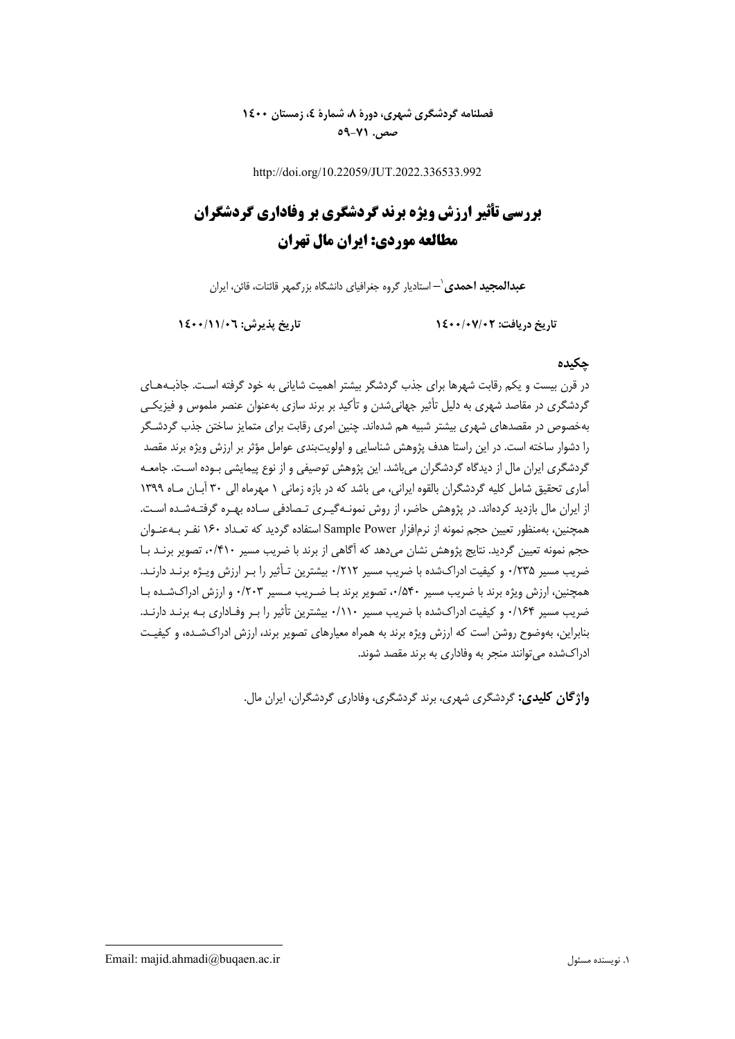# **فصلنامه گردشگري شهري، دورة ،8 شمارة ،4 زمستان 1400 صص. 59-71**

http://doi.org/10.22059/JUT.2022.336533.992

# **بررسي تأثير ارزش ويژه برند گردشگري بر وفاداري گردشگران مطالعه موردي: ايران مال تهران**

**–** استاديار گروه جغرافياي دانشگاه بزرگمهر قائنات، قائن، ايران <sup>1</sup> **عبدالمجيد احمدي**

**تاريخ دريافت: 1400/07/02 تاريخ پذيرش: 1400/11/06**

### **چكيده**

در قرن بيست و يكم رقابت شهرها براي جذب گردشگر بيشتر اهميت شاياني به خود گرفته اسـت . جاذبـههـاي گردشگري در مقاصد شهري به دليل تأثير جهانيشدن و تأكيد بر برند سازي بهعنوان عنصر ملموس و فيزيكـي بهخصوص در مقصدهاي شهري بيشتر شبيه هم شدهاند. چنين امري رقابت براي متمايز ساختن جذب گردشـگر را دشوار ساخته است. در اين راستا هدف پژوهش شناسايي و اولويتبندي عوامل مؤثر بر ارزش ويژه برند مقصد گردشگري ايران مال از ديدگاه گردشگران ميباشد. اين پژوهش توصيفي و از نوع پيمايشي بـوده اسـت. جامعـه آماري تحقيق شامل كليه گردشگران بالقوه ايراني، مي باشد كه در بازه زماني 1 مهرماه الي 30 آبـان مـاه 1399 از ايران مال بازديد كردهاند. در پژوهش حاضر، از روش نمونـهگيـري تـصادفي سـاده بهـره گرفتـهشـده اسـت. همچنين، بهمنظور تعيين حجم نمونه از نرمافزار Power Sample استفاده گرديد كه تعـداد 160 نفـر بـهعنـوان حجم نمونه تعيين گرديد. نتايج پژوهش نشان ميدهد كه آگاهي از برند با ضريب مسير ،0/410 تصوير برنـد بـا ضريب مسير 7۳۵٪ و كيفيت ادراكشده با ضريب مسير ۰/۲۱۲ بيشترين تـأثير را بـر ارزش ويـژه برنـد دارنـد. همچنين، ارزش ويژه برند با ضريب مسير ،0/540 تصوير برند بـا ضـريب مـسير 0/203 و ارزش ادراكشـده بـا ضريب مسير 0/164 و كيفيت ادراكشده با ضريب مسير 0/110 بيشترين تأثير را بـر وفـاداري بـه برنـد دا رنـد. بنابراين، بهوضوح روشن است كه ارزش ويژه برند به همراه معيارهاي تصوير برند، ارزش ادراك شـده، و كيفيـت ادراكشده ميتوانند منجر به وفاداري به برند مقصد شوند.

**واژگان كليدي:** گردشگري شهري، برند گردشگري، وفاداري گردشگران، ايران مال.

Email: majid.ahmadi@buqaen.ac.ir مسئول نويسنده .1

**.**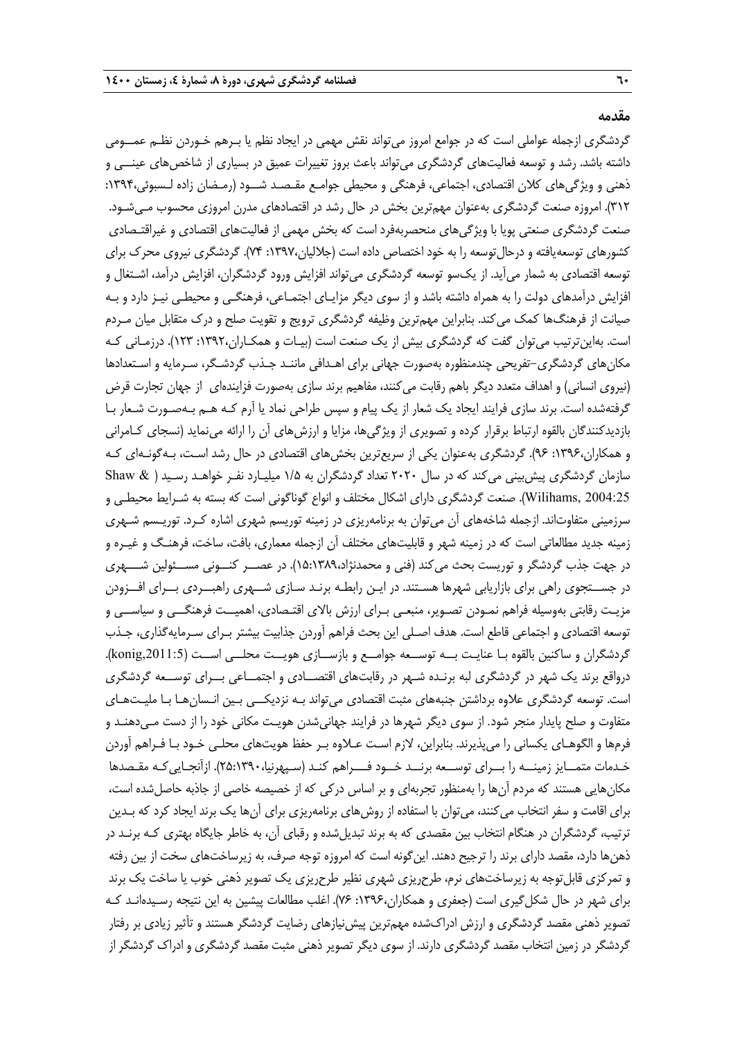#### **مقدمه**

گردشگري ازجمله عواملي است كه در جوامع امروز ميتواند نقش مهمي در ايجاد نظم يا بـرهم خـوردن نظـم عمــومي داشته باشد. رشد و توسعه فعاليتهاي گردشگري ميتواند باعث بروز تغييرات عميق در بسياري از شاخصهاي عينــي و ذهني و ويژگيهاي كلان اقتصادي، اجتماعي، فرهنگي و محيطي جوامـع مقـصـد شــود (رمـضان زاده لـسبوئي:1394، 312). امروزه صنعت گردشگري بهعنوان مهمترين بخش در حال رشد در اقتصادهاي مدرن امروزي محسوب مـيشـود. صنعت گردشگري صنعتي پويا با ويژگيهاي منحصربهفرد است كه بخش مهمي از فعاليتهاي اقتصادي و غيراقتـصادي كشورهاي توسعهيافته و درحالتوسعه را به خود اختصاص داده است (جلاليان:1397، 74). گردشگري نيروي محرك براي توسعه اقتصادي به شمار ميآيد. از يكسو توسعه گردشگري ميتواند افزايش ورود گردشگران، افزايش درآمد، اشـتغال و افزايش درآمدهاي دولت را به همراه داشته باشد و از سوي ديگر مزايـاي اجتمـاعي، فرهنگـي و محيطـي نيـز دارد و بـه صيانت از فرهنگها كمك ميكند. بنابراين مهمترين وظيفه گردشگري ترويج و تقويت صلح و درك متقابل ميان مـردم است. بهاينترتيب ميتوان گفت كه گردشگري بيش از يك صنعت است (بيـات و همكـاران:1392، 123). درزمـاني كـه مكانهاي گردشگري-تفريحي چندمنظوره بهصورت جهاني براي اهـدافي ماننـد جـذب گردشـگر، سـرمايه و اسـتعدادها (نيروي انساني) و اهداف متعدد ديگر باهم رقابت ميكنند، مفاهيم برند سازي بهصورت فزايندهاي از جهان تجارت قرض گرفتهشده است. برند سازي فرايند ايجاد يك شعار از يك پيام و سپس طراحي نماد يا آرم كـه هـم بـه صـورت شـعار بـا بازديدكنندگان بالقوه ارتباط برقرار كرده و تصويري از ويژگيها، مزايا و ارزشهاي آن را ارائه مينمايد (نسجاي كـامراني و همكاران:1396، 96). گردشگري بهعنوان يكي از سريعترين بخشهاي اقتصادي در حال رشد اسـت، بـهگونـهاي كـه سازمان گردشگري پيشبيني ميكند كه در سال 2020 تعداد گردشگران به 1/5 ميليـارد نفـر خواهـد رسـيد ( & Shaw 2004:25 ,Wilihams(. صنعت گردشگري داراي اشكال مختلف و انواع گوناگوني است كه بسته به شـرايط محيطـي و سرزميني متفاوتاند. ازجمله شاخههاي آن ميتوان به برنامهريزي در زمينه توريسم شهري اشاره كـرد. توريـسم شـهري زمينه جديد مطالعاتي است كه در زمينه شهر و قابليت هاي مختلف آن ازجمله معماري، بافت، ساخت، فرهنـگ و غيـره و در جهت جذب گردشگر و توريست بحث ميكند (فني و محمدنژاد15:1389،). در عصــر كنــوني مســئولين شـــهري در جســتجوي راهي براي بازاريابي شهرها هسـتند. در ايـن رابطـه برنـد سـازي شــهري راهبــردي بــراي افــزودن مزيـت رقابتي بهوسيله فراهم نمـودن تصـوير، منبعـي بـراي ارزش بالاي اقتـصادي، اهميــت فرهنگــي و سياســي و توسعه اقتصادي و اجتماعي قاطع است. هدف اصـلي اين بحث فراهم آوردن جذابيت بيشتر بـراي سـرمايهگذاري، جـذب گردشگران و ساكنين بالقوه بـا عنايـت بــه توســعه جوامــع و بازســازي هويــت محلــي اســت (konig,2011:5). درواقع برند يك شهر در گردشگري لبه برنـده شـهر در رقابت هاي اقتصــادي و اجتمــاعي بــراي توســعه گردشگري است. توسعه گردشگري علاوه برداشتن جنبههاي مثبت اقتصادي ميتواند بـه نزديكــي بـين انـسانهـا بـا مليـتهـاي متفاوت و صلح پايدار منجر شود. از سوي ديگر شهرها در فرايند جهانيشدن هويـت مكاني خود را از دست مـيدهنـد و فرمها و الگوهـاي يكساني را ميپذيرند. بنابراين، لازم اسـت عـلاوه بـر حفظ هويتهاي محلـي خـود بـا فـراهم آوردن خـدمات متمــايز زمينــه را بــراي توســعه برنــد خــود فـــراهم كنـد (سـپهرنيا25:1390،). ازآنجـاييكـه مقـصدها مكانهايي هستند كه مردم آنها را بهمنظور تجربهاي و بر اساس دركي كه از خصيصه خاصي از جاذبه حاصلشده است، براي اقامت و سفر انتخاب ميكنند، ميتوان با استفاده از روشهاي برنامهريزي براي آنها يك برند ايجاد كرد كه بـدين ترتيب، گردشگران در هنگام انتخاب بين مقصدي كه به برند تبديلشده و رقباي آن، به خاطر جايگاه بهتري كـه برنـد در ذهنها دارد، مقصد داراي برند را ترجيح دهند. اينگونه است كه امروزه توجه صرف، به زيرساختهاي سخت از بين رفته و تمركزي قابلتوجه به زيرساختهاي نرم، طرحريزي شهري نظير طرحريزي يك تصوير ذهني خوب يا ساخت يك برند براي شهر در حال شكلگيري است (جعفري و همكاران:1396، 76). اغلب مطالعات پيشين به اين نتيجه رسـيدهانـد كـه تصوير ذهني مقصد گردشگري و ارزش ادراكشده مهمترين پيشنيازهاي رضايت گردشگر هستند و تأثير زيادي بر رفتار گردشگر در زمين انتخاب مقصد گردشگري دارند. از سوي ديگر تصوير ذهني مثبت مقصد گردشگري و ادراك گردشگر از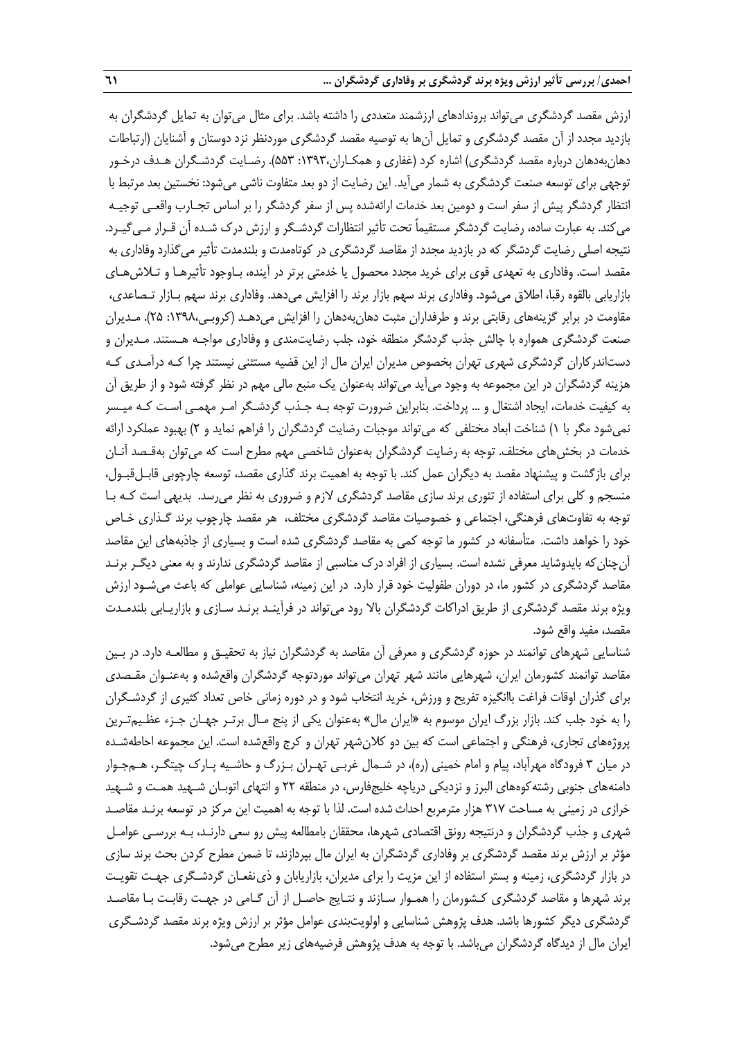ارزش مقصد گردشگري ميتواند بروندادهاي ارزشمند متعددي را داشته باشد. براي مثال ميتوان به تمايل گردشگران به بازديد مجدد از آن مقصد گردشگري و تمايل آنها به توصيه مقصد گردشگري موردنظر نزد دوستان و آشنايان (ارتباطات دهانبهدهان درباره مقصد گردشگري) اشاره كرد (غفاري و همكـاران:1393، 553). رضـايت گردشـگران هـدف درخـور توجهي براي توسعه صنعت گردشگري به شمار ميآيد. اين رضايت از دو بعد متفاوت ناشي ميشود: نخستين بعد مرتبط با انتظار گردشگر پيش از سفر است و دومين بعد خدمات ارائهشده پس از سفر گردشگر را بر اساس تجـارب واقعـي توجيـه ميكند. به عبارت ساده، رضايت گردشگر مستقيماً تحت تأثير انتظارات گردشـگر و ارزش درك شـده آن قـرار مـيگيـرد. نتيجه اصلي رضايت گردشگر كه در بازديد مجدد از مقاصد گردشگري در كوتاهمدت و بلندمدت تأثير ميگذارد وفاداري به مقصد است. وفاداري به تعهدي قوي براي خريد مجدد محصول يا خدمتي برتر در آينده، بـاوجود تأثيرهـا و تـلاشهـاي بازاريابي بالقوه رقبا، اطلاق ميشود. وفاداري برند سهم بازار برند را افزايش ميدهد. وفاداري برند سهم بـازار تـصاعدي، مقاومت در برابر گزينههاي رقابتي برند و طرفداران مثبت دهانبهدهان را افزايش ميدهـد (كروبـي:1398، 25). مـديران صنعت گردشگري همواره با چالش جذب گردشگر منطقه خود، جلب رضايت مندي و وفاداري مواجـه هـستند. مـديران و دستاندركاران گردشگري شهري تهران بخصوص مديران ايران مال از اين قضيه مستثني نيستند چرا كـه درآمـدي كـه هزينه گردشگران در اين مجموعه به وجود ميآيد ميتواند بهعنوان يك منبع مالي مهم در نظر گرفته شود و از طريق آن به كيفيت خدمات، ايجاد اشتغال و ... پرداخت. بنابراين ضرورت توجه بـه جـذب گردشـگر امـر مهمـي اسـت كـه ميـسر نميشود مگر با 1) شناخت ابعاد مختلفي كه ميتواند موجبات رضايت گردشگران را فراهم نمايد و 2) بهبود عملكرد ارائه خدمات در بخشهاي مختلف. توجه به رضايت گردشگران بهعنوان شاخصي مهم مطرح است كه ميتوان بهقـصد آنـان براي بازگشت و پيشنهاد مقصد به ديگران عمل كند. با توجه به اهميت برند گذاري مقصد، توسعه چارچوبي قابـل قبـول، منسجم و كلي براي استفاده از تئوري برند سازي مقاصد گردشگري لازم و ضروري به نظر ميرسد. بديهي است كـه بـا توجه به تفاوتهاي فرهنگي، اجتماعي و خصوصيات مقاصد گردشگري مختلف، هر مقصد چارچوب برند گـذاري خـاص خود را خواهد داشت. متأسفانه در كشور ما توجه كمي به مقاصد گردشگري شده است و بسياري از جاذبههاي اين مقاصد آنچنانكه بايدوشايد معرفي نشده است. بسياري از افراد درك مناسبي از مقاصد گردشگري ندارند و به معني ديگـر برنـد مقاصد گردشگري در كشور ما، در دوران طفوليت خود قرار دارد. در اين زمينه، شناسايي عواملي كه باعث ميشـود ارزش ويژه برند مقصد گردشگري از طريق ادراكات گردشگران بالا رود ميتواند در فرآينـد برنـد سـازي و بازاريـابي بلندمـدت مقصد، مفيد واقع شود.

شناسايي شهرهاي توانمند در حوزه گردشگري و معرفي آن مقاصد به گردشگران نياز به تحقيـق و مطالعـه دارد . در بـين مقاصد توانمند كشورمان ايران، شهرهايي مانند شهر تهران ميتواند موردتوجه گردشگران واقعشده و بهعنـوان مقـصدي براي گذران اوقات فراغت باانگيزه تفريح و ورزش، خريد انتخاب شود و در دوره زماني خاص تعداد كثيري از گردشـگران را به خود جلب كند. بازار بزرگ ايران موسوم به «ايران مال» بهعنوان يكي از پنج مـال برتـر جهـان جـزء عظـ يمتـرين پروژههاي تجاري، فرهنگي و اجتماعي است كه بين دو كلانشهر تهران و كرج واقعشده است. اين مجموعه احاطهشـده در ميان 3 فرودگاه مهرآباد، پيام و امام خميني (ره)، در شـمال غربـي تهـران بـزرگ و حاشـيه پـارك چيتگـر، هـمجـوار دامنههاي جنوبي رشتهكوههاي البرز و نزديكي درياچه خليجفارس، در منطقه 22 و انتهاي اتوبـان شـهيد همـت و شـهيد خرازي در زميني به مساحت 317 هزار مترمربع احداثشده است. لذا با توجه به اهميت اين مركز در توسعه برنـد مقاصـد شهري و جذب گردشگران و درنتيجه رونق اقتصادي شهرها، محققان بامطالعه پيش رو سعي دارنـد، بـه بررسـي عوامـل مؤثر بر ارزش برند مقصد گردشگري بر وفاداري گردشگران به ايران مال بپردازند، تا ضمن مطرح كردن بحث برند سازي در بازار گردشگري، زمينه و بستر استفاده از اين مزيت را براي مديران، بازاريابان و ذينفعـان گردشـگري جهـت تقويـت برند شهرها و مقاصد گردشگري كـشورمان را همـوار سـازند و نتـايج حاصـل از آن گـامي در جهـت رقابـت بـا مقاصـد گردشگري ديگر كشورها باشد. هدف پژوهش شناسايي و اولويتبندي عوامل مؤثر بر ارزش ويژه برند مقصد گردشـگري ايران مال از ديدگاه گردشگران ميباشد. با توجه به هدف پژوهش فرضيههاي زير مطرح ميشود.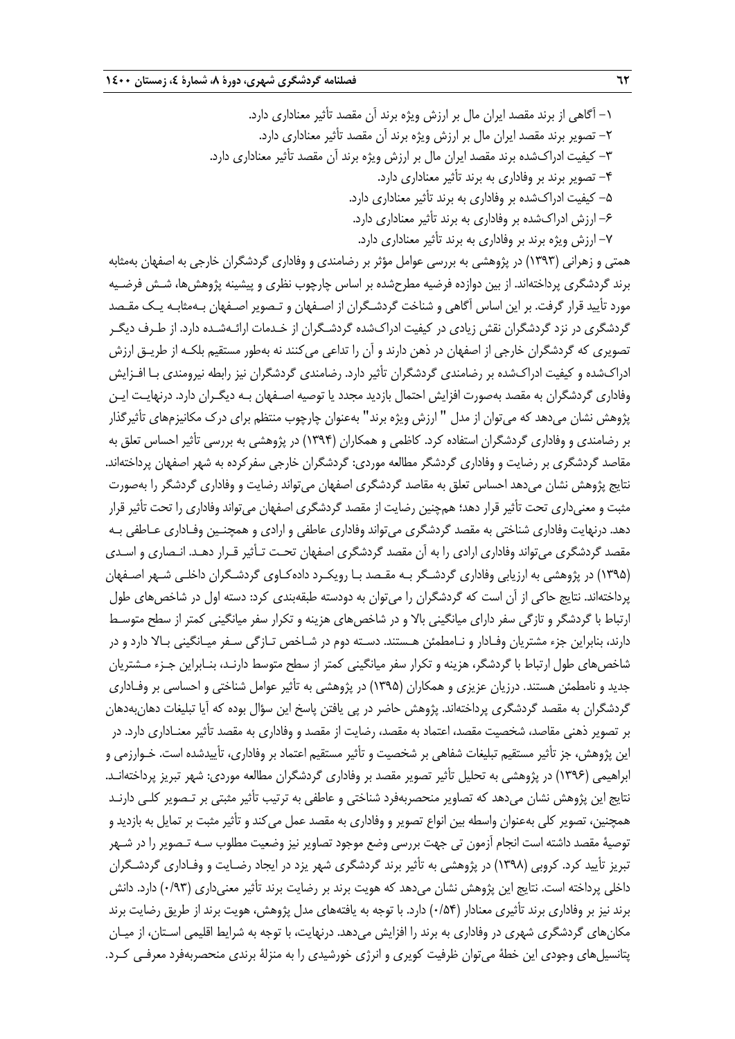-1 آگاهي از برند مقصد ايران مال بر ارزش ويژه برند آن مقصد تأثير معناداري دارد. -2 تصوير برند مقصد ايران مال بر ارزش ويژه برند آن مقصد تأثير معناداري دارد. -3 كيفيت ادراكشده برند مقصد ايران مال بر ارزش ويژه برند آن مقصد تأثير معناداري دارد. -4 تصوير برند بر وفاداري به برند تأثير معناداري دارد. -5 كيفيت ادراكشده بر وفاداري به برند تأثير معناداري دارد.

- -6 ارزش ادراكشده بر وفاداري به برند تأثير معناداري دارد.
- -7 ارزش ويژه برند بر وفاداري به برند تأثير معناداري دارد.

همتي و زهراني (1393) در پژوهشي به بررسي عوامل مؤثر بر رضامندي و وفاداري گردشگران خارجي به اصفهان بهمثابه برند گردشگري پرداختهاند. از بين دوازده فرضيه مطرحشده بر اساس چارچوب نظري و پيشينه پژوهشها، شـش فرضـيه مورد تأييد قرار گرفت. بر اين اساس آگاهي و شناخت گردشـگران از اصـفهان و تـصوير اصـفهان بـهمثابـه يـك مقـصد گردشگري در نزد گردشگران نقش زيادي در كيفيت ادراكشده گردشـگران از خـدمات ارائـهشـده دارد. از طـرف ديگـر تصويري كه گردشگران خارجي از اصفهان در ذهن دارند و آن را تداعي ميكنند نه بهطور مستقيم بلكـه از طريـق ارزش ادراكشده و كيفيت ادراكشده بر رضامندي گردشگران تأثير دارد. رضامندي گردشگران نيز رابطه نيرومندي بـا افـزايش وفاداري گردشگران به مقصد بهصورت افزايش احتمال بازديد مجدد يا توصيه اصـفهان بـه ديگـران دارد. درنهايـت ايـن پژوهش نشان ميدهد كه ميتوان از مدل " ارزش ويژه برند" بهعنوان چارچوب منتظم براي درك مكانيزمهاي تأثيرگذار بر رضامندي و وفاداري گردشگران استفاده كرد. كاظمي و همكاران (1394) در پژوهشي به بررسي تأثير احساس تعلق به مقاصد گردشگري بر رضايت و وفاداري گردشگر مطالعه موردي: گردشگران خارجي سفركرده به شهر اصفهان پرداختهاند. نتايج پژوهش نشان ميدهد احساس تعلق به مقاصد گردشگري اصفهان ميتواند رضايت و وفاداري گردشگر را بهصورت مثبت و معنيداري تحت تأثير قرار دهد؛ همچنين رضايت از مقصد گردشگري اصفهان ميتواند وفاداري را تحت تأثير قرار دهد. درنهايت وفاداري شناختي به مقصد گردشگري ميتواند وفاداري عاطفي و ارادي و همچنـين وفـاداري عـاطفي بـه مقصد گردشگري ميتواند وفاداري ارادي را به آن مقصد گردشگري اصفهان تحـت تـأثير قـرار دهـد. انـصاري و اسـدي (1395) در پژوهشي به ارزيابي وفاداري گردشـگر بـه مقـصد بـا رويكـرد دادهكـاوي گردشـگران داخلـي شـهر اصـفهان پرداختهاند. نتايج حاكي از آن است كه گردشگران را ميتوان به دودسته طبقهبندي كرد: دسته اول در شاخصهاي طول ارتباط با گردشگر و تازگي سفر داراي ميانگيني بالا و در شاخصهاي هزينه و تكرار سفر ميانگيني كمتر از سطح متوسـط دارند، بنابراين جزء مشتريان وفـادار و نـامطمئن هـستند. دسـته دوم در شـاخص تـازگي سـفر ميـانگيني بـالا دارد و در شاخصهاي طول ارتباط با گردشگر، هزينه و تكرار سفر ميانگيني كمتر از سطح متوسط دارنـد، بنـابراين جـزء مـشتريان جديد و نامطمئن هستند. درزيان عزيزي و همكاران (1395) در پژوهشي به تأثير عوامل شناختي و احساسي بر وفـاداري گردشگران به مقصد گردشگري پرداختهاند. پژوهش حاضر در پي يافتن پاسخ اين سؤال بوده كه آيا تبليغات دهانبهدهان بر تصوير ذهني مقاصد، شخصيت مقصد، اعتماد به مقصد، رضايت از مقصد و وفاداري به مقصد تأثير معنـاداري دارد. در اين پژوهش، جز تأثير مستقيم تبليغات شفاهي بر شخصيت و تأثير مستقيم اعتماد بر وفاداري، تأييدشده است. خـوارزمي و ابراهيمي (1396) در پژوهشي به تحليل تأثير تصوير مقصد بر وفاداري گردشگران مطالعه موردي: شهر تبريز پرداختهانـد. نتايج اين پژوهش نشان ميدهد كه تصاوير منحصربهفرد شناختي و عاطفي به ترتيب تأثير مثبتي بر تـصوير كلـي دارنـد همچنين، تصوير كلي بهعنوان واسطه بين انواع تصوير و وفاداري به مقصد عمل ميكند و تأثير مثبت بر تمايل به بازديد و توصية مقصد داشته است انجام آزمون تي جهت بررسي وضع موجود تصاوير نيز وضعيت مطلوب سـه تـصوير را در شـهر تبريز تأييد كرد. كروبي (1398) در پژوهشي به تأثير برند گردشگري شهر يزد در ايجاد رضـايت و وفـاداري گردشـگران داخلي پرداخته است. نتايج اين پژوهش نشان ميدهد كه هويت برند بر رضايت برند تأثير معنيداري (0/93) دارد. دانش برند نيز بر وفاداري برند تأثيري معنادار (0/54) دارد. با توجه به يافتههاي مدل پژوهش، هويت برند از طريق رضايت برند مكانهاي گردشگري شهري در وفاداري به برند را افزايش ميدهد. درنهايت، با توجه به شرايط اقليمي اسـتان، از ميـان پتانسيلهاي وجودي اين خطة ميتوان ظرفيت كويري و انرژي خورشيدي را به منزلة برندي منحصربهفرد معرفـي كـرد.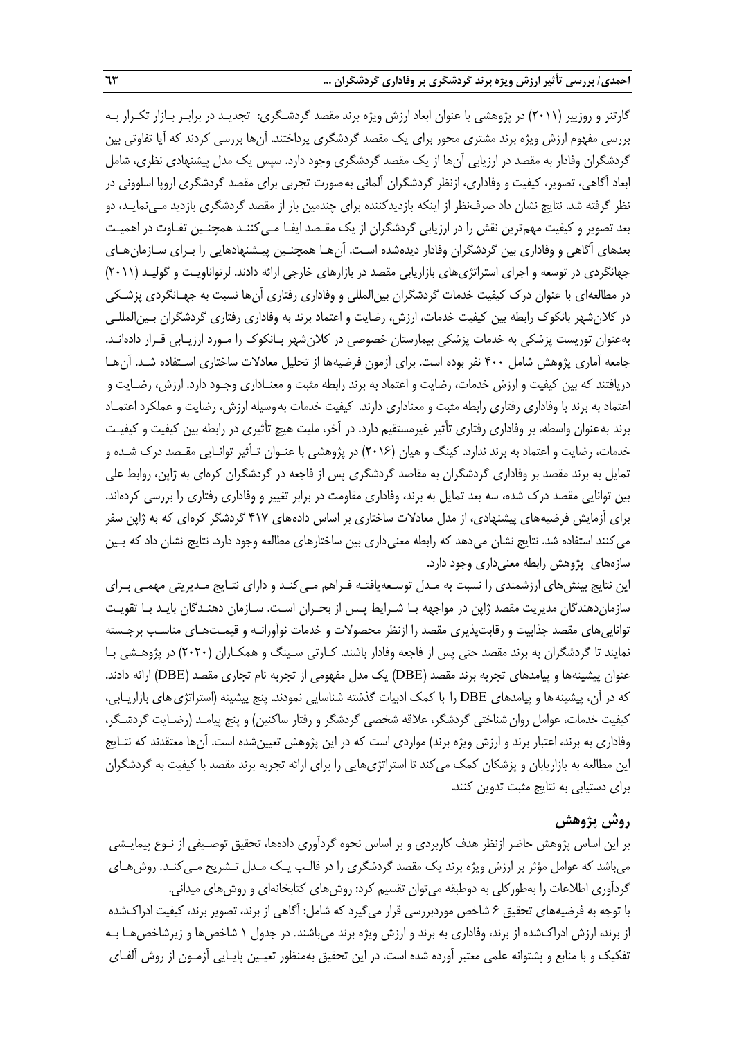گارتنر و روزيير (2011) در پژوهشي با عنوان ابعاد ارزش ويژه برند مقصد گردشـگري: تجديـد در برابـر بـازار تكـرار بـه بررسي مفهوم ارزش ويژه برند مشتري محور براي يك مقصد گردشگري پرداختند. آنها بررسي كردند كه آيا تفاوتي بين گردشگران وفادار به مقصد در ارزيابي آنها از يك مقصد گردشگري وجود دارد. سپس يك مدل پيشنهادي نظري، شامل ابعاد آگاهي، تصوير، كيفيت و وفاداري، ازنظر گردشگران آلماني بهصورت تجربي براي مقصد گردشگري اروپا اسلووني در نظر گرفته شد. نتايج نشان داد صرفنظر از اينكه بازديدكننده براي چندمين بار از مقصد گردشگري بازديد مـي نمايـد، دو بعد تصوير و كيفيت مهمترين نقش را در ارزيابي گردشگران از يك مقـصد ايفـا مـيكننـد همچنـين تفـاوت در اهميـت بعدهاي آگاهي و وفاداري بين گردشگران وفادار ديدهشده اسـت. آنهـا همچنـين پيـشنهادهايي را بـراي سـازمانهـاي جهانگردي در توسعه و اجراي استراتژيهاي بازاريابي مقصد در بازارهاي خارجي ارائه دادند. لرتواناويـت و گوليـد (2011) در مطالعهاي با عنوان درك كيفيت خدمات گردشگران بينالمللي و وفاداري رفتاري آنها نسبت به جهـانگردي پزشـكي در كلانشهر بانكوك رابطه بين كيفيت خدمات، ارزش، رضايت و اعتماد برند به وفاداري رفتاري گردشگران بـين المللـي بهعنوان توريست پزشكي به خدمات پزشكي بيمارستان خصوصي در كلانشهر بـانكوك را مـورد ارزيـابي قـرار داده انـد. جامعه آماري پژوهش شامل 400 نفر بوده است. براي آزمون فرضيهها از تحليل معادلات ساختاري اسـتفاده شـد. آنهـا دريافتند كه بين كيفيت و ارزش خدمات، رضايت و اعتماد به برند رابطه مثبت و معنـاداري وجـود دارد. ارزش، رضـايت و اعتماد به برند با وفاداري رفتاري رابطه مثبت و معناداري دارند. كيفيت خدمات بهوسيله ارزش، رضايت و عملكرد اعتمـاد برند بهعنوان واسطه، بر وفاداري رفتاري تأثير غيرمستقيم دارد. در آخر، مليت هيچ تأثيري در رابطه بين كيفيت و كيفيـت خدمات، رضايت و اعتماد به برند ندارد. كينگ و هيان (2016) در پژوهشي با عنـوان تـأثير توانـايي مقـصد درك شـده و تمايل به برند مقصد بر وفاداري گردشگران به مقاصد گردشگري پس از فاجعه در گردشگران كرهاي به ژاپن، روابط علي بين توانايي مقصد درك شده، سه بعد تمايل به برند، وفاداري مقاومت در برابر تغيير و وفاداري رفتاري را بررسي كرده اند. براي آزمايش فرضيههاي پيشنهادي، از مدل معادلات ساختاري بر اساس دادههاي 417 گردشگر كرهاي كه به ژاپن سفر مي كنند استفاده شد. نتايج نشان مي دهد كه رابطه معني داري بين ساختارهاي مطالعه وجود دارد. نتايج نشان داد كه بـين سازههاي پژوهش رابطه معنيداري وجود دارد.

اين نتايج بينشهاي ارزشمندي را نسبت به مـدل توسـعهيافتـه فـراهم مـيكنـد و داراي نتـايج مـديريتي مهمـي بـراي سازماندهندگان مديريت مقصد ژاپن در مواجهه بـا شـرايط پـس از بحـران اسـت. سـازمان دهنـدگان بايـد بـا تقويـت تواناييهاي مقصد جذابيت و رقابتپذيري مقصد را ازنظر محصولات و خدمات نوآورانـه و قيمـتهـاي مناسـب برجـسته نمايند تا گردشگران به برند مقصد حتي پس از فاجعه وفادار باشند . كـارتي سـينگ و همكـاران (2020) در پژوهـشي بـا عنوان پيشينهها و پيامدهاي تجربه برند مقصد (DBE (يك مدل مفهومي از تجربه نام تجاري مقصد (DBE (ارائه دادند. كه در آن، پيشينه ها و پيامدهاي DBE را با كمک ادبيات گذشته شناسايي نمودند. پنج پيشينه (استراتژي هاي بازاريـابي، كيفيت خدمات، عوامل روانشناختي گردشگر، علاقه شخصي گردشگر و رفتار ساكنين) و پنج پيامـد (رضـايت گردشـگر، وفاداري به برند، اعتبار برند و ارزش ويژه برند) مواردي است كه در اين پژوهش تعيينشده است. آنها معتقدند كه نتـايج اين مطالعه به بازاريابان و پزشكان كمك ميكند تا استراتژيهايي را براي ارائه تجربه برند مقصد با كيفيت به گردشگران براي دستيابي به نتايج مثبت تدوين كنند.

# **روش پژوهش**

بر اين اساس پژوهش حاضر ازنظر هدف كاربردي و بر اساس نحوه گردآوري دادهها، تحقيق توصـيفي از نـوع پيمايـشي ميباشد كه عوامل مؤثر بر ارزش ويژه برند يك مقصد گردشگري را در قالـب يـك مـدل تـشريح مـيكنـد. روشهـاي گردآوري اطلاعات را بهطوركلي به دوطبقه ميتوان تقسيم كرد: روشهاي كتابخانهاي و روشهاي ميداني. با توجه به فرضيههاي تحقيق 6 شاخص موردبررسي قرار ميگيرد كه شامل: آگاهي از برند، تصوير برند، كيفيت ادراكشده از برند، ارزش ادراكشده از برند، وفاداري به برند و ارزش ويژه برند ميباشند. در جدول 1 شاخصها و زيرشاخصهـا بـه تفكيك و با منابع و پشتوانه علمي معتبر آورده شده است. در اين تحقيق بهمنظور تعيـين پايـايي آزمـون از روش آلفـاي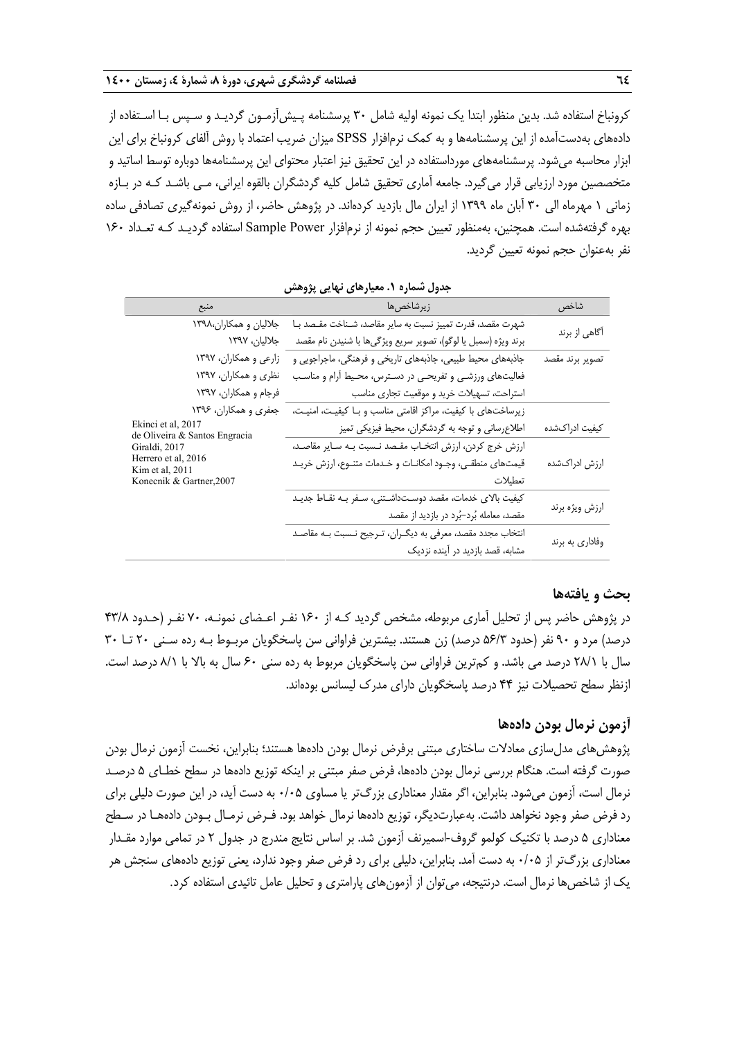كرونباخ استفاده شد. بدين منظور ابتدا يك نمونه اوليه شامل 30 پرسشنامه پـيشآزمـون گرديـد و سـپس بـا اسـتفاده از دادههاي بهدستآمده از اين پرسشنامهها و به كمك نرمافزار SPSS ميزان ضريب اعتماد با روش آلفاي كرونباخ براي اين ابزار محاسبه ميشود. پرسشنامههاي مورداستفاده در اين تحقيق نيز اعتبار محتواي اين پرسشنامهها دوباره توسط اساتيد و متخصصين مورد ارزيابي قرار ميگيرد. جامعه آماري تحقيق شامل كليه گردشگران بالقوه ايراني، مـي باشـد كـه در بـازه زماني 1 مهرماه الي 30 آبان ماه 1399 از ايران مال بازديد كردهاند. در پژوهش حاضر، از روش نمونهگيري تصادفي ساده بهره گرفتهشده است. همچنين، بهمنظور تعيين حجم نمونه از نرمافزار Power Sample استفاده گرديـد كـه تعـداد 160 نفر بهعنوان حجم نمونه تعيين گرديد.

| بتون سنترد ۰٫۰ سپارٹس کہ یی پروسس                   |                                                                |                 |  |  |  |  |
|-----------------------------------------------------|----------------------------------------------------------------|-----------------|--|--|--|--|
| منبع                                                | زيرشاخصها                                                      | شاخص            |  |  |  |  |
| جلالیان و همکاران،۱۳۹۸                              | شهرت مقصد، قدرت تمییز نسبت به سایر مقاصد، شـناخت مقـصد بـا     |                 |  |  |  |  |
| جلاليان، ١٣٩٧                                       | برند ويژه (سمبل يا لوگو)، تصوير سريع ويژگيها با شنيدن نام مقصد | آگاهی از برند   |  |  |  |  |
| زارعي و همكاران، ١٣٩٧                               | جاذبههای محیط طبیعی، جاذبههای تاریخی و فرهنگی، ماجراجویی و     | تصوير برند مقصد |  |  |  |  |
| نظری و همکاران، ۱۳۹۷                                | فعالیتهای ورزشـی و تفریحـی در دسـترس، محـیط آرام و مناسـب      |                 |  |  |  |  |
| فرجام و همکاران، ۱۳۹۷                               | استراحت، تسهيلات خريد و موقعيت تجارى مناسب                     |                 |  |  |  |  |
| جعفري و همكاران، ۱۳۹۶                               | زیرساختهای با کیفیت، مراکز اقامتی مناسب و بـا کیفیـت، امنیـت،  |                 |  |  |  |  |
| Ekinci et al, 2017<br>de Oliveira & Santos Engracia | اطلاعرسانی و توجه به گردشگران، محیط فیزیکی تمیز                | كيفيت ادراكشده  |  |  |  |  |
| Giraldi, 2017                                       | ارزش خرج كردن، ارزش انتخاب مقصد نـسبت بـه سـاير مقاصـد،        |                 |  |  |  |  |
| Herrero et al, 2016<br>Kim et al, 2011              | قیمتهای منطقی، وجـود امکانــات و خــدمات متنــوع، ارزش خريــد  | ارزش ادراکشده   |  |  |  |  |
| Konecnik & Gartner, 2007                            | تعطيلات                                                        |                 |  |  |  |  |
|                                                     | كيفيت بالاي خدمات، مقصد دوسـتداشـتني، سـفر بـه نقـاط جديـد     |                 |  |  |  |  |
|                                                     | مقصد، معامله بُرد-بُرد در بازدید از مقصد                       | ارزش ويژه برند  |  |  |  |  |
|                                                     | انتخاب مجدد مقصد، معرفی به دیگـران، تـرجیح نـسبت بـه مقاصـد    |                 |  |  |  |  |
|                                                     | مشابه، قصد بازدید در آینده نزدیک                               | وفاداري به برند |  |  |  |  |

**جدول شماره .1 معيارهاي نهايي پژوهش** 

### **بحث و يافتهها**

در پژوهش حاضر پس از تحليل آماري مربوطه، مشخص گرديد كـه از 160 نفـر اعـضاي نمونـه، 70 نفـر (حـدود 43/8 درصد) مرد و 90 نفر (حدود 56/3 درصد) زن هستند. بيشترين فراواني سن پاسخگويان مربـوط بـه رده سـني 20 تـا 30 سال با 28/1 درصد مي باشد. و كمترين فراواني سن پاسخگويان مربوط به رده سني 60 سال به بالا با 8/1 درصد است. ازنظر سطح تحصيلات نيز 44 درصد پاسخگويان داراي مدرك ليسانس بودهاند.

# **آزمون نرمال بودن دادهها**

پژوهشهاي مدلسازي معادلات ساختاري مبتني برفرض نرمال بودن دادهها هستند؛ بنابراين، نخست آزمون نرمال بودن صورت گرفته است. هنگام بررسي نرمال بودن دادهها، فرض صفر مبتني بر اينكه توزيع دادهها در سطح خطـاي 5 درصـد نرمال است، آزمون ميشود. بنابراين، اگر مقدار معناداري بزرگتر يا مساوي 0/05 به دست آيد، در اين صورت دليلي براي رد فرض صفر وجود نخواهد داشت. بهعبارتديگر، توزيع دادهها نرمال خواهد بود. فـرض نرمـال بـودن دادههـا در سـطح معناداري 5 درصد با تكنيك كولمو گروف-اسميرنف آزمون شد. بر اساس نتايج مندرج در جدول 2 در تمامي موارد مقـدار معناداري بزرگتر از 0/05 به دست آمد. بنابراين، دليلي براي رد فرض صفر وجود ندارد، يعني توزيع دادههاي سنجش هر يك از شاخصها نرمال است. درنتيجه، ميتوان از آزمونهاي پارامتري و تحليل عامل تائيدي استفاده كرد.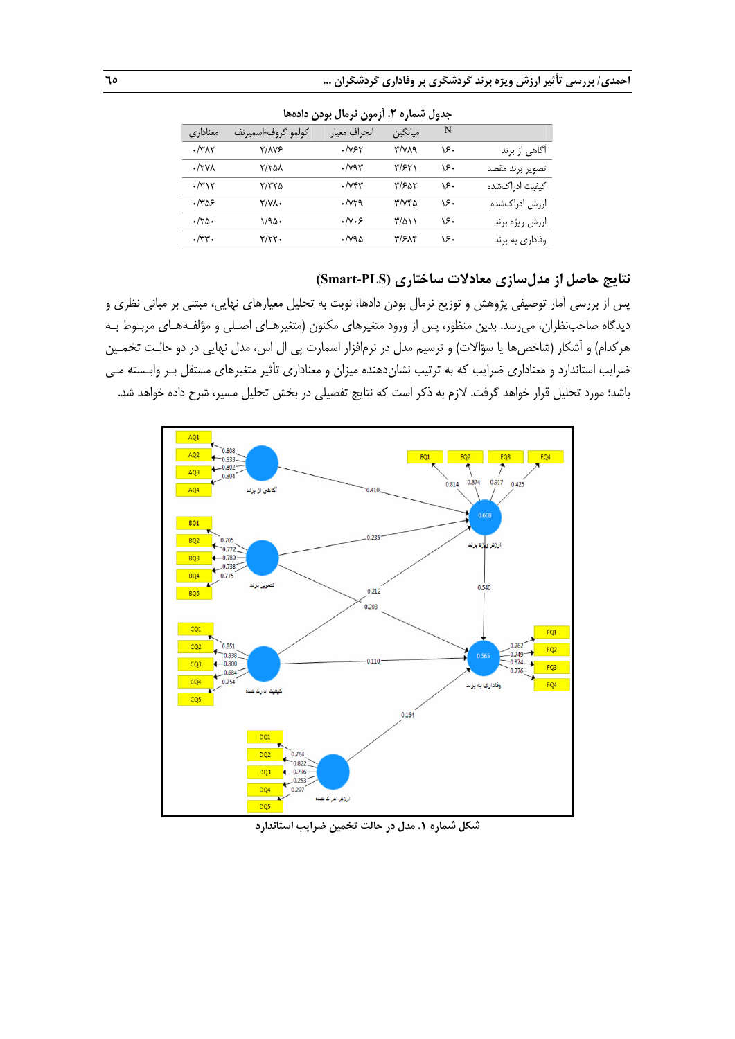| جنون مساره ۰۰٬ رنبون ترتدن بوتان ۱۰٬۰۰۰ |                    |                       |                    |     |                 |  |  |
|-----------------------------------------|--------------------|-----------------------|--------------------|-----|-----------------|--|--|
| معنادارى                                | کولمو گروف-اسمیرنف | انحراف معيار          | ميانگين            | N   |                 |  |  |
| $\cdot$ /٣ $\wedge$ ٢                   | ۲/۸۷۶              | ۰/۷۶۲                 | <b>۳/VA9</b>       | ۱۶۰ | اگاهی از برند   |  |  |
| $\cdot$ /۲۷۸                            | ۲/۲۵۸              | $\cdot$ / $\gamma$ ۹۳ | ۳/۶۲۱              | ۱۶۰ | تصوير برند مقصد |  |  |
| $\cdot$ /٣١٢                            | ۲/۳۲۵              | $\cdot$ / $V$ ۴۳      | ۳/۶۵۲              | ۱۶۰ | كيفيت ادراكشده  |  |  |
| ۳۵۶.                                    | <b>T/VA.</b>       | $\cdot$ / $\vee$ ra   | ۳/۷۴۵              | ۱۶۰ | ارزش ادراكشده   |  |  |
| $\cdot$ /۲۵۰                            | ۱/۹۵۰              | $\cdot$ /y $\cdot$ ۶  | $\frac{r}{\Delta}$ | ۱۶۰ | ارزش ويژه برند  |  |  |
| $\cdot$ /۳۳.                            | Y/YY               | ۳۷۹۵.                 | ۳/۶۸۴              | ۱۶۰ | وفاداری به برند |  |  |

**جدول شماره .2 آزمون نرمال بودن دادهها** 

# **نتايج حاصل از مدلسازي معادلات ساختاري (PLS-Smart (**

پس از بررسي آمار توصيفي پژوهش و توزيع نرمال بودن دادها، نوبت به تحليل معيارهاي نهايي، مبتني بر مباني نظري و ديدگاه صاحبنظران، ميرسد. بدين منظور، پس از ورود متغيرهاي مكنون (متغيرهـاي اصـلي و مؤلفـههـاي مربـوط بـه هركدام) و آشكار (شاخصها يا سؤالات) و ترسيم مدل در نرمافزار اسمارت پي ال اس، مدل نهايي در دو حالـت تخمـين ضرايب استاندارد و معناداري ضرايب كه به ترتيب نشاندهنده ميزان و معناداري تأثير متغيرهاي مستقل بـر وابـسته مـي باشد؛ مورد تحليل قرار خواهد گرفت. لازم به ذكر است كه نتايج تفصيلي در بخش تحليل مسير، شرح داده خواهد شد.



**شكل شماره .1 مدل در حالت تخمين ضرايب استاندارد**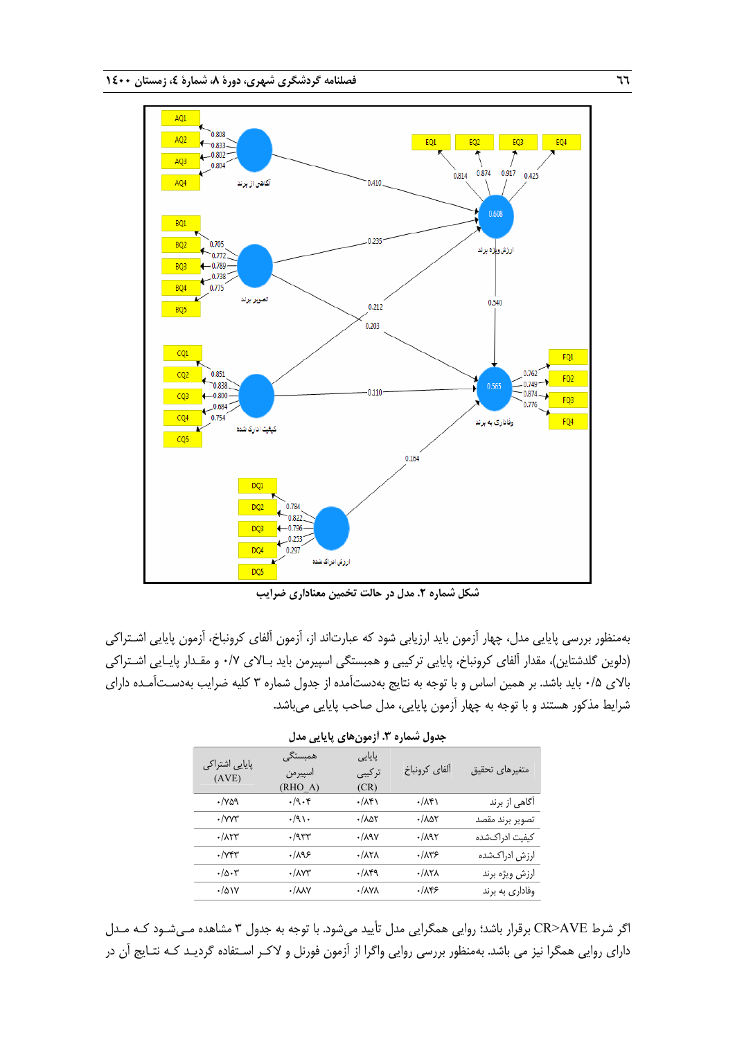

بهمنظور بررسي پايايي مدل، چهار آزمون بايد ارزيابي شود كه عبارت اند از، آزمون آلفاي كرونباخ، آزمون پايايي اشـتراكي (دلوين گلدشتاين)، مقدار آلفاي كرونباخ، پايايي تركيبي و همبستگي اسپيرمن بايد بـالاي 0/7 و مقـدار پايـايي اشـتراكي بالاي 0/5 بايد باشد. بر همين اساس و با توجه به نتايج بهدستآمده از جدول شماره 3 كليه ضرايب بهدسـتآمـده داراي شرايط مذكور هستند <sup>و</sup> با توجه به چهار آزمون پايايي، مدل صاحب پايايي ميباشد.

| پایایی اشتراکی<br>(AVE)          | همبستگی<br>اسپيرمن<br>(RHO A) | یایایی<br>تركيبي<br>(CR)        | ألفاي كرونباخ                   | متغيرهاى تحقيق  |
|----------------------------------|-------------------------------|---------------------------------|---------------------------------|-----------------|
| $\cdot$ / $\vee$ $\circ$ $\circ$ | $\cdot$ /9 $\cdot$ ۴          | $\cdot/\lambda$ ۴۱              | ۰/۸۴۱                           | اًگاهی از برند  |
| $\cdot$ /yyr                     | $\cdot$ /9).                  | $\cdot$ / $\Delta\Delta\tau$    | $\cdot$ / $\lambda$ at          | تصوير برند مقصد |
| $\cdot/\lambda$ ٢٣               | $\cdot$ /957                  | $\cdot$ /191                    | $\cdot$ /195                    | كيفيت ادراكشده  |
| $\cdot$ / $V$ ۴۳                 | ۱۸۹۶                          | $\cdot$ / $\lambda$ ۲ $\lambda$ | .78                             | ارزش ادراكشده   |
| $\cdot/\Delta\cdot\mathbf{v}$    | $\cdot$ / $\Lambda$           | $\cdot/\lambda$ ۴۹              | $\cdot$ / $\lambda$ ۲ $\lambda$ | ارزش ويژه برند  |
| $\cdot/\Delta$ $\vee$            | $\cdot / \lambda \lambda V$   | $\cdot$ / $\Lambda$ Y $\Lambda$ | .789                            | وفاداري به برند |

**جدول شماره .3 آزمونهاي پايايي مدل** 

اگر شرط AVE>CR برقرار باشد؛ روايي همگرايي مدل تأييد ميشود. با توجه به جدول 3 مشاهده مـيشـود كـه مـدل داراي روايي همگرا نيز مي باشد. بهمنظور بررسي روايي واگرا از آزمون فورنل و لاكـر اسـتفاده گرديـد كـه نتـايج آن در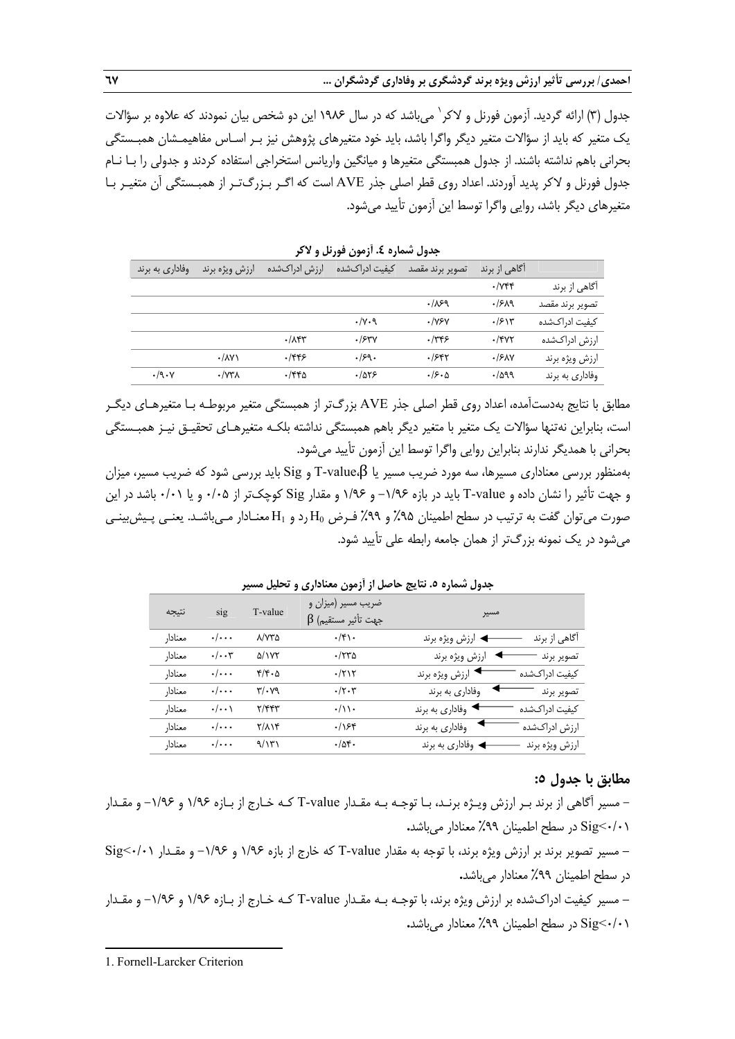جدول (۳) ارائه گردید. آزمون فورنل و لاكر ` می باشد كه در سال ۱۹۸۶ این دو شخص بیان نمودند كه علاوه بر سؤالات يك متغير كه بايد از سؤالات متغير ديگر واگرا باشد، بايد خود متغيرهاي پژوهش نيز بـر اسـاس مفاهيمـشان همبـستگي بحراني باهم نداشته باشند. از جدول همبستگي متغيرها و ميانگين واريانس استخراجي استفاده كردند و جدولي را بـا نـام جدول فورنل و لاكر پديد آوردند. اعداد روي قطر اصلي جذر AVE است كه اگـر بـزرگتـر از همبـستگي آن متغيـر بـا متغيرهاي ديگر باشد، روايي واگرا توسط اين آزمون تأييد ميشود.

|                 | آگاهی از برند         | تصوير برند مقصد | كيفيت ادراكشده         | ارزش ادراکشده      | ارزش ويژه برند                  | وفاداري به برند      |
|-----------------|-----------------------|-----------------|------------------------|--------------------|---------------------------------|----------------------|
| اگاهی از برند   | $\cdot$ / $\gamma$ ۴۴ |                 |                        |                    |                                 |                      |
| تصوير برند مقصد | .1519                 | .189            |                        |                    |                                 |                      |
| كيفيت ادراكشده  | $\cdot$ /۶۱۳          | $\cdot$ / $YY$  | $\cdot/\gamma \cdot$ 9 |                    |                                 |                      |
| ارزش ادراکشده   | $.$ /۴۷۲              | .749            | .754V                  | $\cdot/\lambda$ ۴۳ |                                 |                      |
| ارزش ويژه برند  | .15AN                 | .1587           | .159.                  | .1889              | $\cdot$ / $\Lambda$ Y $\lambda$ |                      |
| وفاداري به برند | .7099                 | .8.0            | .785                   | ۱۴۴۵.              | $\cdot$ / $\vee\forall\lambda$  | $\cdot$ /9 $\cdot$ Y |

**جدول شماره .4 آزمون فورنل و لاكر** 

مطابق با نتايج بهدستآمده، اعداد روي قطر اصلي جذر AVE بزرگتر از همبستگي متغير مربوطـه بـا متغيرهـاي ديگـر است، بنابراين نهتنها سؤالات يك متغير با متغير ديگر باهم همبستگي نداشته بلكـه متغيرهـاي تحقيـق نيـز همبـستگي بحراني با همديگر ندارند بنابراين روايي واگرا توسط اين آزمون تأييد ميشود.

بهمنظور بررسي معناداري مسيرها، سه مورد ضريب مسير يا β،value-T و Sig بايد بررسي شود كه ضريب مسير، ميزان و جهت تأثير را نشان داده و value-T بايد در بازه -1/96 و 1/96 و مقدار Sig كوچكتر از 0/05 و يا 0/01 باشد در اين صورت ميتوان گفت به ترتيب در سطح اطمينان ٩۵٪ و ٩٩٪ فـرض H<sub>0</sub> رد و H<sub>1</sub> معنـادار مـيباشـد. يعنـي پـيشبينـي ميشود در يك نمونه بزرگتر از همان جامعه رابطه علي تأييد شود.

|         |                         | "'''    | ۔ رب<br>---                                     | <i>,</i> , ,      |                |
|---------|-------------------------|---------|-------------------------------------------------|-------------------|----------------|
| نتيجه   | sig                     | T-value | ضریب مسیر (میزان و<br>$\beta$ جهت تأثير مستقيم) | مسير              |                |
| معنادار | $\cdot/\cdot\cdot\cdot$ | ۸/۷۳۵   | $\cdot/\mathfrak{f}\setminus\cdot$              | ◄ ارزش ويژه برند  | اًگاهی از برند |
| معنادار | $\cdot/\cdot\cdot$ ۳    | ۵/۱۷۲   | $\cdot$ /۲۳۵                                    | ارزش ويژه برند    | تصوير برند     |
| معنادار | $\cdot/\cdot\cdot\cdot$ | ۴/۴۰۵   | $\cdot$ /۲۱۲                                    | ◄ ارزش ويژه برند  | كيفيت ادراكشده |
| معنادار | $\cdot/\cdot\cdot\cdot$ | ۳/۰۷۹   | $\cdot/\tau\cdot\tau$                           | وفاداري به برند   | تصوير برند     |
| معنادار | $\cdot/\cdot\cdot$      | ۲/۴۴۳   | $\cdot/\wedge\cdot$                             | ◄ وفاداري به برند | كيفيت ادراكشده |
| معنادار | $\cdot/\cdot\cdot\cdot$ | ۲/۸۱۴   | .788                                            | وفاداري به برند   | ارزش ادراكشده  |
| معنادار | $\cdot/\cdot\cdot\cdot$ | 9/1۳۱   | .704.                                           | ♦ وفاداري به برند | ارزش ويژه برند |
|         |                         |         |                                                 |                   |                |

**جدول شماره .5 نتايج حاصل از آزمون معناداري و تحليل مسير** 

### **مطابق با جدول :5**

- مسير آگاهي از برند بـر ارزش ويـژه برنـد، بـا توجـه بـه مقـدار value-T كـه خـارج از بـازه 1/96 و -1/96 و مقـدار 0/01>Sig در سطح اطمينان %99 معنادار ميباشد**.** 

**-** مسير تصوير برند بر ارزش ويژه برند، با توجه به مقدار value-T كه خارج از بازه 1/96 و -1/96 و مقـدار 0/01>Sig در سطح اطمينان %99 معنادار ميباشد**.** 

**-** مسير كيفيت ادراكشده بر ارزش ويژه برند، با توجـه بـه مقـدار value-T كـه خـارج از بـازه 1/96 و -1/96 و مقـدار 0/01>Sig در سطح اطمينان %99 معنادار ميباشد**.**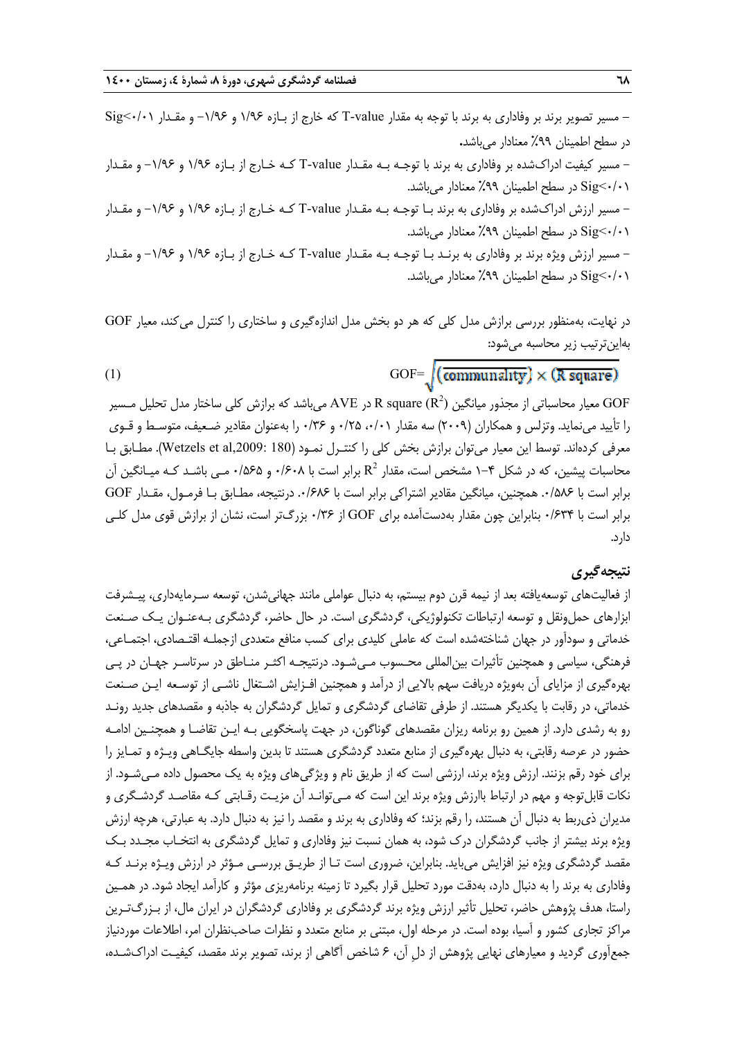**-** مسير تصوير برند بر وفاداري به برند با توجه به مقدار value-T كه خارج از بـازه 1/96 و -1/96 و مقـدار 0/01>Sig در سطح اطمينان %99 معنادار ميباشد**.**  - مسير كيفيت ادراكشده بر وفاداري به برند با توجـه بـه مقـدار value-T كـه خـارج از بـازه 1/96 و -1/96 و مقـدار 0/01>Sig در سطح اطمينان %99 معنادار ميباشد. - مسير ارزش ادراكشده بر وفاداري به برند بـا توجـه بـه مقـدار value-T كـه خـارج از بـازه 1/96 و -1/96 و مقـدار 0/01>Sig در سطح اطمينان %99 معنادار ميباشد. - مسير ارزش ويژه برند بر وفاداري به برنـد بـا توجـه بـه مقـدار value-T كـه خـارج از بـازه 1/96 و -1/96 و مقـدار 0/01>Sig در سطح اطمينان %99 معنادار ميباشد.

در نهايت، بهمنظور بررسي برازش مدل كلي كه هر دو بخش مدل اندازه گيري و ساختاري را كنترل ميكند، معيار GOF بهاينترتيب زير محاسبه ميشود:

(1) GOF= $\sqrt{\text{(commularity)}} \times (\text{R square})$ 

معيار محاسباتي از مجذور ميانگين  $\rm R$  square ( $\rm R^2$  در  $\rm AVE$  ميباشد كه برازش كلي ساختار مدل تحليل مـسير GOF را تأييد مينمايد. وتزلس و همكاران (2009) سه مقدار ،0/01 0/25 و 0/36 را بهعنوان مقادير ضـعيف، متوسـط و قـوي معرفي كردهاند. توسط اين معيار ميتوان برازش بخش كلي را كنتـرل نمـود (180 ,Wetzels et al,2009:). مطـابق بـا 1-محاسبات پیشین، که در شکل ۴–۱ مشخص است، مقدار  $R^2$  برابر است با ۰/۶۰۸ و ۵۶۵/۰ مـی باشـد کـه میـانگین آن برابر است با .0/586 همچنين، ميانگين مقادير اشتراكي برابر است با .0/686 درنتيجه، مطـابق بـا فرمـول، مقـدار GOF برابر است با 0/634 بنابراين چون مقدار بهدستآمده براي GOF از 0/36 بزرگتر است، نشان از برازش قوي مدل كلـي دارد.

# **نتيجهگيري**

از فعاليتهاي توسعهيافته بعد از نيمه قرن دوم بيستم، به دنبال عواملي مانند جهانيشدن، توسعه سـرمايهداري، پيـشرفت ابزارهاي حملونقل و توسعه ارتباطات تكنولوژيكي، گردشگري است. در حال حاضر، گردشگري بـهعنـوان يـك صـنعت خدماتي و سودآور در جهان شناختهشده است كه عاملي كليدي براي كسب منافع متعددي ازجملـه اقتـصادي، اجتمـاعي، فرهنگي، سياسي و همچنين تأثيرات بينالمللي محـسوب مـيشـود. درنتيجـه اكثـر منـاطق در سرتاسـر جهـان در پـي بهرهگيري از مزاياي آن بهويژه دريافت سهم بالايي از درآمد و همچنين افـزايش اشـتغال ناشـي از توسـعه ايـن صـنعت خدماتي، در رقابت با يكديگر هستند. از طرفي تقاضاي گردشگري و تمايل گردشگران به جاذبه و مقصدهاي جديد رونـد رو به رشدي دارد. از همين رو برنامه ريزان مقصدهاي گوناگون، در جهت پاسخگويي بـه ايـن تقاضـا و همچنـين ادامـه حضور در عرصه رقابتي، به دنبال بهرهگيري از منابع متعدد گردشگري هستند تا بدين واسطه جايگـاهي ويـژه و تمـايز را براي خود رقم بزنند. ارزش ويژه برند، ارزشي است كه از طريق نام و ويژگي هاي ويژه به يك محصول داده مـيشـود. از نكات قابلتوجه و مهم در ارتباط باارزش ويژه برند اين است كه مـيتوانـد آن مزيـت رقـابتي كـه مقاصـد گردشـگري و مديران ذيربط به دنبال آن هستند، را رقم بزند؛ كه وفاداري به برند و مقصد را نيز به دنبال دارد. به عبارتي، هرچه ارزش ويژه برند بيشتر از جانب گردشگران درك شود، به همان نسبت نيز وفاداري و تمايل گردشگري به انتخـاب مجـدد بـك مقصد گردشگري ويژه نيز افزايش ميبايد. بنابراين، ضروري است تـا از طريـق بررسـي مـؤثر در ارزش ويـژه برنـد كـه وفاداري به برند را به دنبال دارد، بهدقت مورد تحليل قرار بگيرد تا زمينه برنامهريزي مؤثر و كارآمد ايجاد شود. در همـين راستا، هدف پژوهش حاضر، تحليل تأثير ارزش ويژه برند گردشگري بر وفاداري گردشگران در ايران مال، از بـزرگتـرين مراكز تجاري كشور و آسيا، بوده است. در مرحله اول، مبتني بر منابع متعدد و نظرات صاحب نظران امر، اطلاعات موردنياز جمعآوري گرديد و معيارهاي نهايي پژوهش از دلِ آن، 6 شاخص آگاهي از برند، تصوير برند مقصد، كيفيـت ادراك شـده،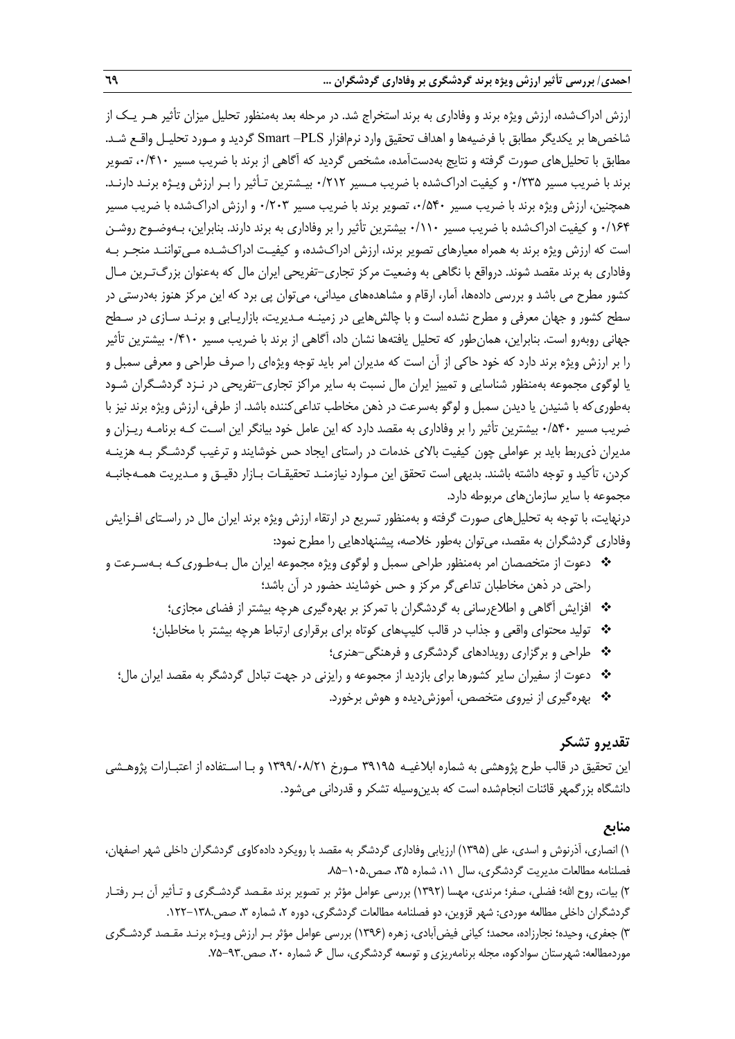ارزش ادراكشده، ارزش ويژه برند و وفاداري به برند استخراج شد. در مرحله بعد بهمنظور تحليل ميزان تأثير هـر يـك از شاخصها بر يكديگر مطابق با فرضيهها و اهداف تحقيق وارد نرمافزار PLS –Smart گرديد و مـورد تحليـل واقـع شـد. مطابق با تحليلهاي صورت گرفته و نتايج بهدستآمده، مشخص گرديد كه آگاهي از برند با ضريب مسير ،0/410 تصوير برند با ضريب مسير 0/235 و كيفيت ادراكشده با ضريب مـسير 0/212 بيـشترين تـأثير را بـر ارزش ويـژه برنـد دارنـد. همچنين، ارزش ويژه برند با ضريب مسير ،0/540 تصوير برند با ضريب مسير 0/203 و ارزش ادراكشده با ضريب مسير 0/164 و كيفيت ادراكشده با ضريب مسير 0/110 بيشترين تأثير را بر وفاداري به برند دارند. بنابراين، بـهوضـوح روشـن است كه ارزش ويژه برند به همراه معيارهاي تصوير برند، ارزش ادراك شده، و كيفيـت ادراكشـده مـيتواننـد منجـر بـه وفاداري به برند مقصد شوند. درواقع با نگاهي به وضعيت مركز تجاري-تفريحي ايران مال كه بهعنوان بزرگتـرين مـال كشور مطرح مي باشد و بررسي دادهها، آمار، ارقام و مشاهدههاي ميداني، ميتوان پي برد كه اين مركز هنوز بهدرستي در سطح كشور و جهان معرفي و مطرح نشده است و با چالشهايي در زمينـه مـديريت، بازاريـابي و برنـد سـازي در سـطح جهاني روبهرو است. بنابراين، همانطور كه تحليل يافتهها نشان داد، آگاهي از برند با ضريب مسير 0/410 بيشترين تأثير را بر ارزش ويژه برند دارد كه خود حاكي از آن است كه مديران امر بايد توجه ويژه اي را صرف طراحي و معرفي سمبل و يا لوگوي مجموعه بهمنظور شناسايي و تمييز ايران مال نسبت به ساير مراكز تجاري-تفريحي در نـزد گردشـگران شـود بهطوريكه با شنيدن يا ديدن سمبل و لوگو بهسرعت در ذهن مخاطب تداعيكننده باشد. از طرفي، ارزش ويژه برند نيز با ضريب مسير 0/540 بيشترين تأثير را بر وفاداري به مقصد دارد كه اين عامل خود بيانگر اين اسـت كـه برنامـه ريـزان و مديران ذيربط بايد بر عواملي چون كيفيت بالاي خدمات در راستاي ايجاد حس خوشايند و ترغيب گردشـگر بـه هزينـه كردن، تأكيد و توجه داشته باشند. بديهي است تحقق اين مـوارد نيازمنـد تحقيقـات بـازار دقيـق و مـديريت همـه جانبـه مجموعه با ساير سازمانهاي مربوطه دارد.

درنهايت، با توجه به تحليلهاي صورت گرفته و بهمنظور تسريع در ارتقاء ارزش ويژه برند ايران مال در راسـتاي افـزايش وفاداري گردشگران به مقصد، ميتوان بهطور خلاصه، پيشنهادهايي را مطرح نمود:

- دعوت از متخصصان امر بهمنظور طراحي سمبل و لوگوي ويژه مجموعه ايران مال بـهطـوريكـه بـهسـرعت و راحتي در ذهن مخاطبان تداعيگر مركز و حس خوشايند حضور در آن باشد؛
	- افزايش آگاهي و اطلاعرساني به گردشگران با تمركز بر بهرهگيري هرچه بيشتر از فضاي مجازي؛
	- توليد محتواي واقعي و جذاب در قالب كليپهاي كوتاه براي برقراري ارتباط هرچه بيشتر با مخاطبان؛
		- طراحي و برگزاري رويدادهاي گردشگري و فرهنگي-هنري؛
	- دعوت از سفيران ساير كشورها براي بازديد از مجموعه و رايزني در جهت تبادل گردشگر به مقصد ايران مال؛
		- بهرهگيري از نيروي متخصص، آموزشديده و هوش برخورد.

# **تقديرو تشكر**

اين تحقيق در قالب طرح پژوهشي به شماره ابلاغيـه 39195 مـورخ 1399/08/21 و بـا اسـتفاده از اعتبـارات پژوهـشي دانشگاه بزرگمهر قائنات انجامشده است كه بدينوسيله تشكر و قدرداني ميشود.

### **منابع**

1) انصاري، آذرنوش و اسدي، علي (1395) ارزيابي وفاداري گردشگر به مقصد با رويكرد دادهكاوي گردشگران داخلي شهر اصفهان، فصلنامه مطالعات مديريت گردشگري، سال ،11 شماره ،35 صص.85-105. 2) بيات، روح االله؛ فضلي، صفر؛ مرندي، مهسا (1392) بررسي عوامل مؤثر بر تصوير برند مقـصد گردشـگري و تـأثير آن بـر رفتـار گردشگران داخلي مطالعه موردي: شهر قزوين، دو فصلنامه مطالعات گردشگري، دوره ۲، شماره ۳، صص.۱۳۸–۱۲۲. 3) جعفري، وحيده؛ نجارزاده، محمد؛ كياني فيضآبادي، زهره (1396) بررسي عوامل مؤثر بـر ارزش ويـژه برنـد مقـصد گردشـگري موردمطالعه: شهرستان سوادكوه، مجله برنامهريزي و توسعه گردشگري، سال ۶۰ شماره ۲۰، صص.٩٣-٧۵.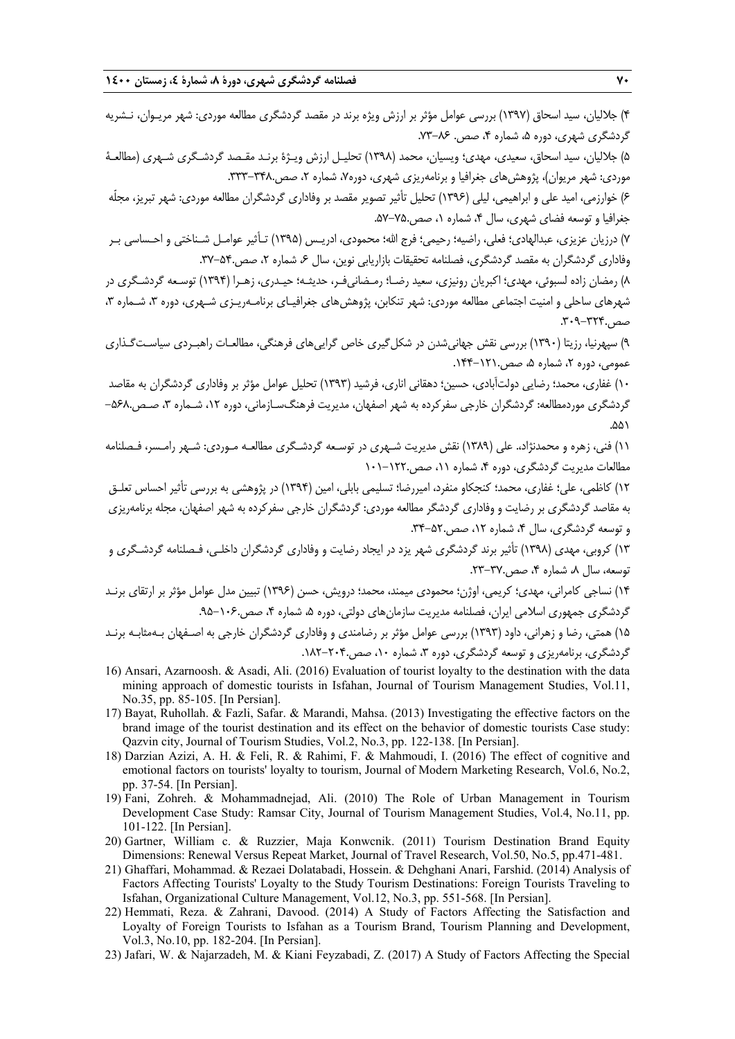4) جلاليان، سيد اسحاق (1397) بررسي عوامل مؤثر بر ارزش ويژه برند در مقصد گردشگري مطالعه موردي: شهر مريـوان، نـشريه گردشگري شهري، دوره ۵، شماره ۴، صص. ۸۶-۷۳.

5) جلاليان، سيد اسحاق، سعيدي، مهدي؛ ويسيان، محمد (1398) تحليـل ارزش ويـژة برنـد مقـصد گردشـگري شـهري (مطالعـة موردي: شهر مريوان)، پژوهش هاي جغرافيا و برنامهريزي شهري، دوره۷، شماره ۲، صص.٣٢٨-٣٣٣.

6) خوارزمي، اميد علي و ابراهيمي، ليلي (1396) تحليل تأثير تصوير مقصد بر وفاداري گردشگران مطالعه موردي: شهر تبريز، مجلّه جغرافيا و توسعه فضاي شهري، سال ،4 شماره ،1 صص.57-75.

7) درزيان عزيزي، عبدالهادي؛ فعلي، راضيه؛ رحيمي؛ فرج االله؛ محمودي، ادريـس (1395) تـأثير عوامـل شـناختي و احـساسي بـر وفاداري گردشگران به مقصد گردشگري، فصلنامه تحقيقات بازاريابي نوين، سال ۶، شماره ۲، صص.3۲-۳۷.

8) رمضان زاده لسبوئي، مهدي؛ اكبريان رونيزي، سعيد رضـا؛ رمـضاني فـر، حديثـه؛ حيـدري، زهـرا (1394) توسـعه گردشـگري در شهرهاي ساحلي و امنيت اجتماعي مطالعه موردي: شهر تنكابن، پژوهش هاي جغرافيـاي برنامـهريـزي شـهري، دوره ٣، شـماره ٣، صص.309-324.

9) سپهرنيا، رزيتا (1390) بررسي نقش جهانيشدن در شكلگيري خاص گراييهاي فرهنگي، مطالعـات راهبـردي سياسـتگـذاري عمومي، دوره ٢، شماره ۵، صص.١٢١-١۴۴.

10) غفاري، محمد؛ رضايي دولتآبادي، حسين؛ دهقاني اناري، فرشيد (1393) تحليل عوامل مؤثر بر وفاداري گردشگران به مقاصد گردشگری موردمطالعه: گردشگران خارجی سفركرده به شهر اصفهان، مديريت فرهنگسـازماني، دوره ۱۲، شـماره ۳، صـص.۵۶۸-.۵۵۱

11) فني، زهره و محمدنژاد.، علي (1389) نقش مديريت شـهري در توسـعه گردشـگري مطالعـه مـوردي : شـهر رامـسر، فـصلنامه مطالعات مديريت گردشگري، دوره ۴، شماره ۱۱، صص ١٢٢٠-١٠١

12) كاظمي، علي؛ غفاري، محمد؛ كنجكاو منفرد، اميررضا؛ تسليمي بابلي، امين (1394) در پژوهشي به بررسي تأثير احساس تعلـق به مقاصد گردشگري بر رضايت و وفاداري گردشگر مطالعه موردي: گردشگران خارجي سفركرده به شهر اصفهان، مجله برنامهريزي و توسعه گردشگري، سال ۴، شماره ۱۲، صص.۵۲-۳۴.

13) كروبي، مهدي (1398) تأثير برند گردشگري شهر يزد در ايجاد رضايت و وفاداري گردشگران داخلـي، فـصلنامه گردشـگري و توسعه، سال ۸، شماره ۴، صص.۳۷-۲۳.

14) نساجي كامراني، مهدي؛ كريمي، اوژن؛ محمودي ميمند، محمد؛ درويش، حسن (1396) تبيين مدل عوامل مؤثر بر ارتقاي برنـد گردشگري جمهوري اسلامي ايران، فصلنامه مديريت سازمان،هاي دولتي، دوره ۵، شماره ۴، صص ۱۰۶۰-۹۵. 15) همتي، رضا و زهراني، داود (1393) بررسي عوامل مؤثر بر رضامندي و وفاداري گردشگران خارجي به اصـفهان بـهمثابـه برنـد

گردشگري، برنامهريزي و توسعه گردشگري، دوره ٣، شماره ١٠، صص.٢٠٢-١٨٢.

- 16) Ansari, Azarnoosh. & Asadi, Ali. (2016) Evaluation of tourist loyalty to the destination with the data mining approach of domestic tourists in Isfahan, Journal of Tourism Management Studies, Vol.11, No.35, pp. 85-105. [In Persian].
- 17) Bayat, Ruhollah. & Fazli, Safar. & Marandi, Mahsa. (2013) Investigating the effective factors on the brand image of the tourist destination and its effect on the behavior of domestic tourists Case study: Qazvin city, Journal of Tourism Studies, Vol.2, No.3, pp. 122-138. [In Persian].
- 18) Darzian Azizi, A. H. & Feli, R. & Rahimi, F. & Mahmoudi, I. (2016) The effect of cognitive and emotional factors on tourists' loyalty to tourism, Journal of Modern Marketing Research, Vol.6, No.2, pp. 37-54. [In Persian].
- 19) Fani, Zohreh. & Mohammadnejad, Ali. (2010) The Role of Urban Management in Tourism Development Case Study: Ramsar City, Journal of Tourism Management Studies, Vol.4, No.11, pp. 101-122. [In Persian].
- 20) Gartner, William c. & Ruzzier, Maja Konwcnik. (2011) Tourism Destination Brand Equity Dimensions: Renewal Versus Repeat Market, Journal of Travel Research, Vol.50, No.5, pp.471-481.
- 21) Ghaffari, Mohammad. & Rezaei Dolatabadi, Hossein. & Dehghani Anari, Farshid. (2014) Analysis of Factors Affecting Tourists' Loyalty to the Study Tourism Destinations: Foreign Tourists Traveling to Isfahan, Organizational Culture Management, Vol.12, No.3, pp. 551-568. [In Persian].
- 22) Hemmati, Reza. & Zahrani, Davood. (2014) A Study of Factors Affecting the Satisfaction and Loyalty of Foreign Tourists to Isfahan as a Tourism Brand, Tourism Planning and Development, Vol.3, No.10, pp. 182-204. [In Persian].
- 23) Jafari, W. & Najarzadeh, M. & Kiani Feyzabadi, Z. (2017) A Study of Factors Affecting the Special